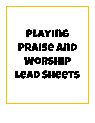# Playing Praise and Worship Lead Sheets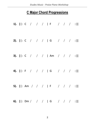# **C Major Chord Progressions**

|  |  |  | 1). $  : C / / /  F / /  $      |  |  |
|--|--|--|---------------------------------|--|--|
|  |  |  | 2). $  : C / / /   G / /   G  $ |  |  |
|  |  |  | 3). $  : C / / /  Am / /  $     |  |  |
|  |  |  | 4).   : F / / /   G / / / :     |  |  |
|  |  |  | 5). $  : Am / / /  F / /   /  $ |  |  |
|  |  |  | 6).   : Dm / / /   G / / / :    |  |  |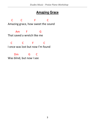#### **Amazing Grace**

 C C F C Amazing grace, how sweet the sound Am F G That saved a wretch like me C C F C I once was lost but now I'm found Dm G C Was blind, but now I see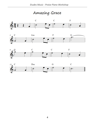Amazing Grace







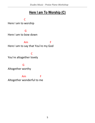### **Here I am To Worship (C)**

**C** C

Here I am to worship

**Grade Contract Grade Contract Grade** 

Here I am to bow down

 Am F Here I am to say that You're my God

 C You're altogether lovely

**Green Contracts** Altogether worthy

 Am F Altogether wonderful to me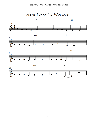Here I Am To Worship

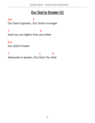# **Our God Is Greater (C)**

Am F Our God is greater, Our God is stronger

C G God You are higher than any other

Am

Our God is healer

F G G G Awesome in power, Our God, Our God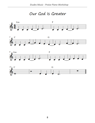Our God Is Greater







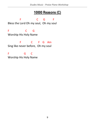# **10000 Reasons (C)**

F C G F Bless the Lord Oh my soul, Oh my soul

F C G Worship His Holy Name

 F C F G Am Sing like never before, Oh my soul

F G C Worship His Holy Name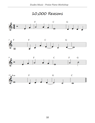10,000 Reasons







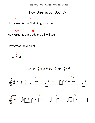### **How Great is our God (C)**

 C C How Great is our God, Sing with me

 Am Am How Great is our God, and all will see

**F** G How great, how great

**C** Is our God

How Great Is Our God

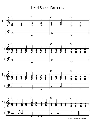#### Lead Sheet Patterns









© www.etudes-music.com